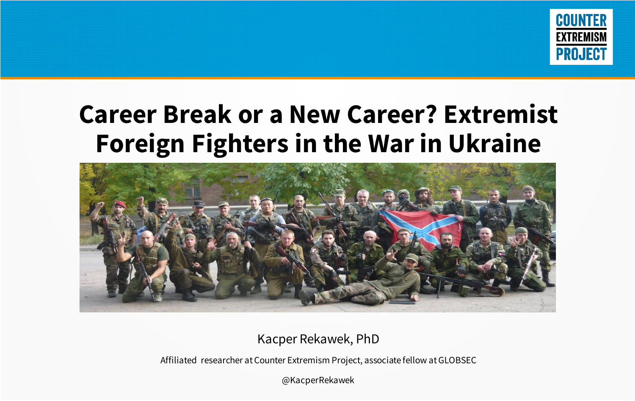

#### **Career Break or a New Career? Extremist Foreign Fighters in the War in Ukraine**



Kacper Rekawek, PhD

Affiliated researcher at Counter Extremism Project, associate fellow at GLOBSEC

@KacperRekawek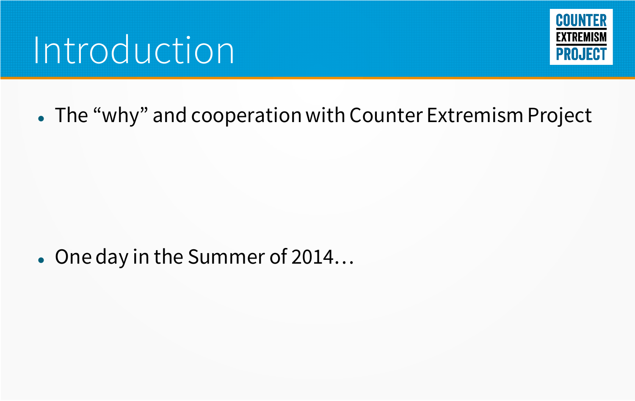## Introduction



#### ⚫ The "why" and cooperation with Counter Extremism Project

#### ⚫ One day in the Summer of 2014…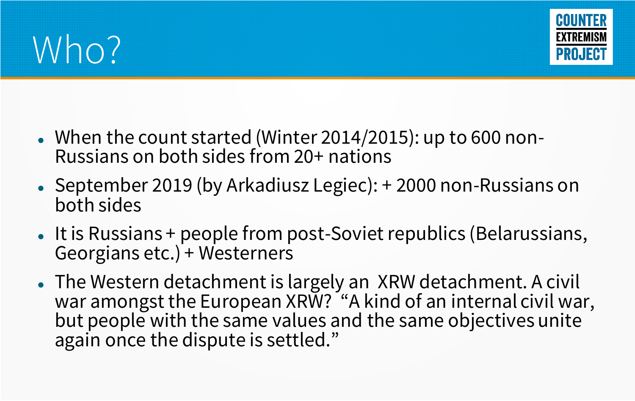



- ⚫ When the count started (Winter 2014/2015): up to 600 non-Russians on both sides from 20+ nations
- ⚫ September 2019 (by Arkadiusz Legiec): + 2000 non-Russians on both sides
- It is Russians + people from post-Soviet republics (Belarussians, Georgians etc.) + Westerners
- ⚫ The Western detachment is largely an XRW detachment. A civil war amongst the European XRW? "A kind of an internal civil war, but people with the same values and the same objectives unite again once the dispute is settled."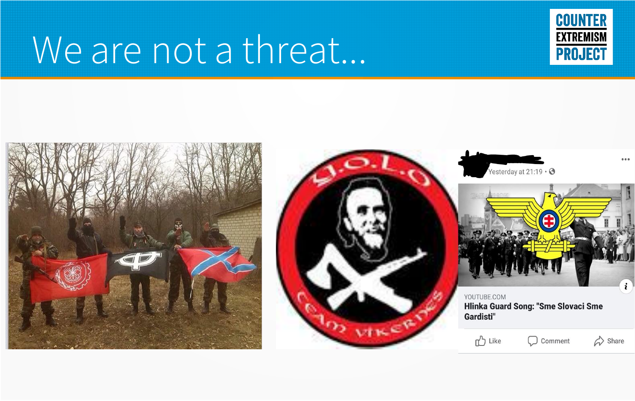### We are not a threat...



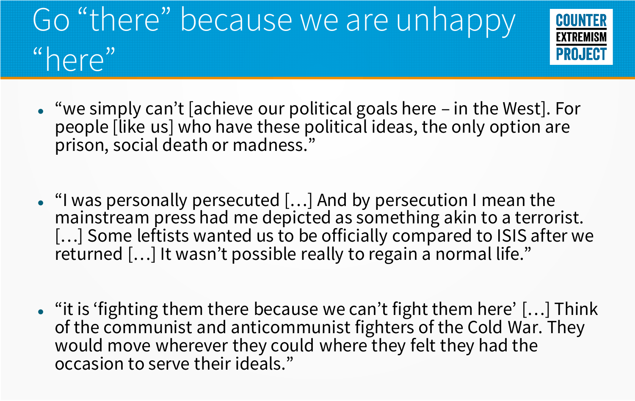### Go "there" because we are unhappy "here"



- ⚫ "we simply can't [achieve our political goals here in the West]. For people [like us] who have these political ideas, the only option are prison, social death or madness."
- ⚫ "I was personally persecuted […] And by persecution I mean the mainstream press had me depicted as something akin to a terrorist. [...] Some leftists wanted us to be officially compared to ISIS after we returned […] It wasn't possible really to regain a normal life."
- ⚫ "it is 'fighting them there because we can't fight them here' […] Think of the communist and anticommunist fighters of the Cold War. They would move wherever they could where they felt they had the occasion to serve their ideals."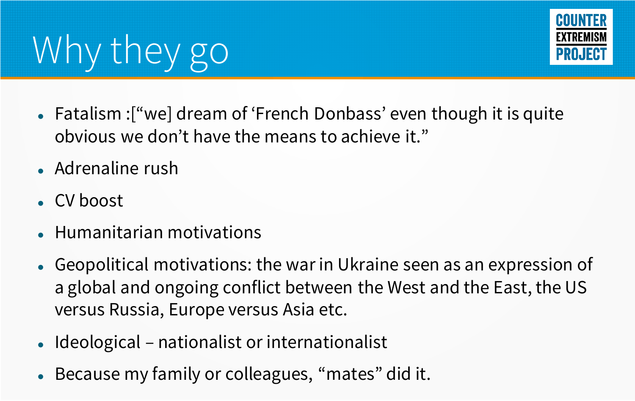# Why they go



- ⚫ Fatalism :["we] dream of 'French Donbass' even though it is quite obvious we don't have the means to achieve it."
- ⚫ Adrenaline rush
- ⚫ CV boost
- ⚫ Humanitarian motivations
- ⚫ Geopolitical motivations: the war in Ukraine seen as an expression of a global and ongoing conflict between the West and the East, the US versus Russia, Europe versus Asia etc.
- ⚫ Ideological nationalist or internationalist
- ⚫ Because my family or colleagues, "mates" did it.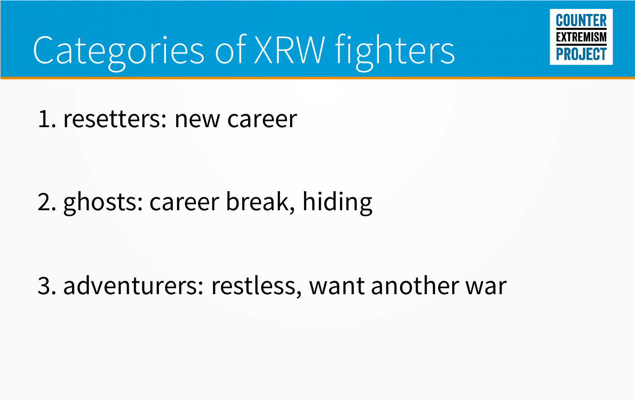

# Categories of XRW fighters

1. resetters: new career

#### 2. ghosts: career break, hiding

3. adventurers: restless, want another war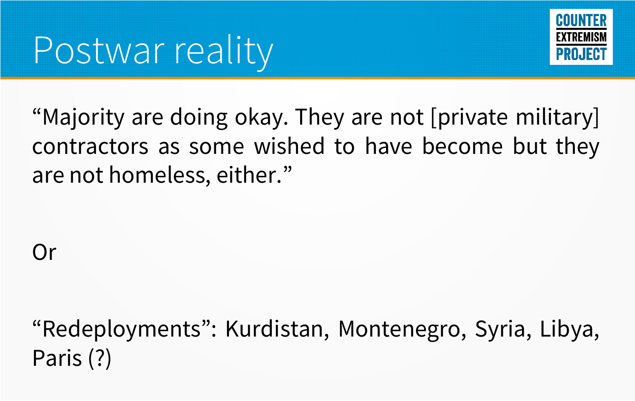

"Majority are doing okay. They are not [private military] contractors as some wished to have become but they are not homeless, either. "

Or

"Redeployments": Kurdistan, Montenegro, Syria, Libya, Paris (?)